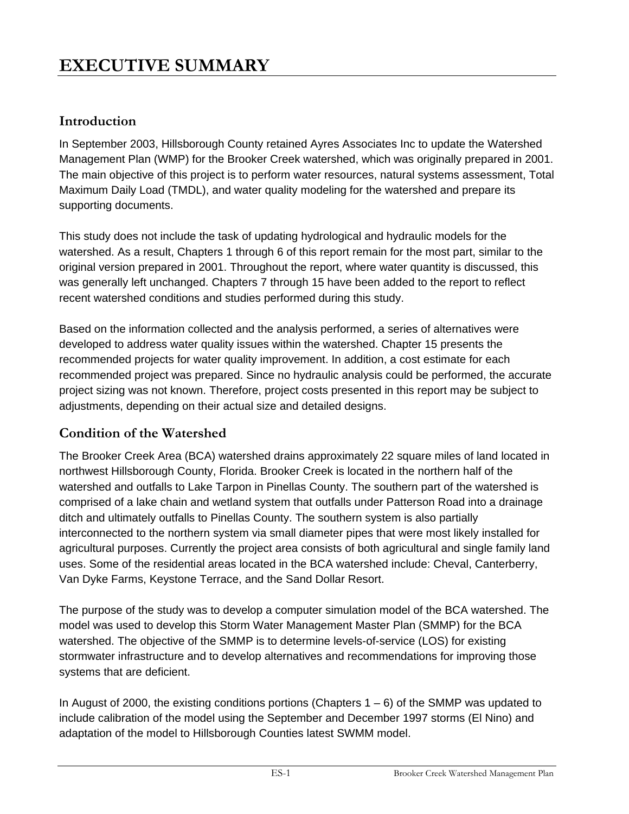# **EXECUTIVE SUMMARY**

# **Introduction**

In September 2003, Hillsborough County retained Ayres Associates Inc to update the Watershed Management Plan (WMP) for the Brooker Creek watershed, which was originally prepared in 2001. The main objective of this project is to perform water resources, natural systems assessment, Total Maximum Daily Load (TMDL), and water quality modeling for the watershed and prepare its supporting documents.

This study does not include the task of updating hydrological and hydraulic models for the watershed. As a result, Chapters 1 through 6 of this report remain for the most part, similar to the original version prepared in 2001. Throughout the report, where water quantity is discussed, this was generally left unchanged. Chapters 7 through 15 have been added to the report to reflect recent watershed conditions and studies performed during this study.

Based on the information collected and the analysis performed, a series of alternatives were developed to address water quality issues within the watershed. Chapter 15 presents the recommended projects for water quality improvement. In addition, a cost estimate for each recommended project was prepared. Since no hydraulic analysis could be performed, the accurate project sizing was not known. Therefore, project costs presented in this report may be subject to adjustments, depending on their actual size and detailed designs.

# **Condition of the Watershed**

The Brooker Creek Area (BCA) watershed drains approximately 22 square miles of land located in northwest Hillsborough County, Florida. Brooker Creek is located in the northern half of the watershed and outfalls to Lake Tarpon in Pinellas County. The southern part of the watershed is comprised of a lake chain and wetland system that outfalls under Patterson Road into a drainage ditch and ultimately outfalls to Pinellas County. The southern system is also partially interconnected to the northern system via small diameter pipes that were most likely installed for agricultural purposes. Currently the project area consists of both agricultural and single family land uses. Some of the residential areas located in the BCA watershed include: Cheval, Canterberry, Van Dyke Farms, Keystone Terrace, and the Sand Dollar Resort.

The purpose of the study was to develop a computer simulation model of the BCA watershed. The model was used to develop this Storm Water Management Master Plan (SMMP) for the BCA watershed. The objective of the SMMP is to determine levels-of-service (LOS) for existing stormwater infrastructure and to develop alternatives and recommendations for improving those systems that are deficient.

In August of 2000, the existing conditions portions (Chapters  $1 - 6$ ) of the SMMP was updated to include calibration of the model using the September and December 1997 storms (El Nino) and adaptation of the model to Hillsborough Counties latest SWMM model.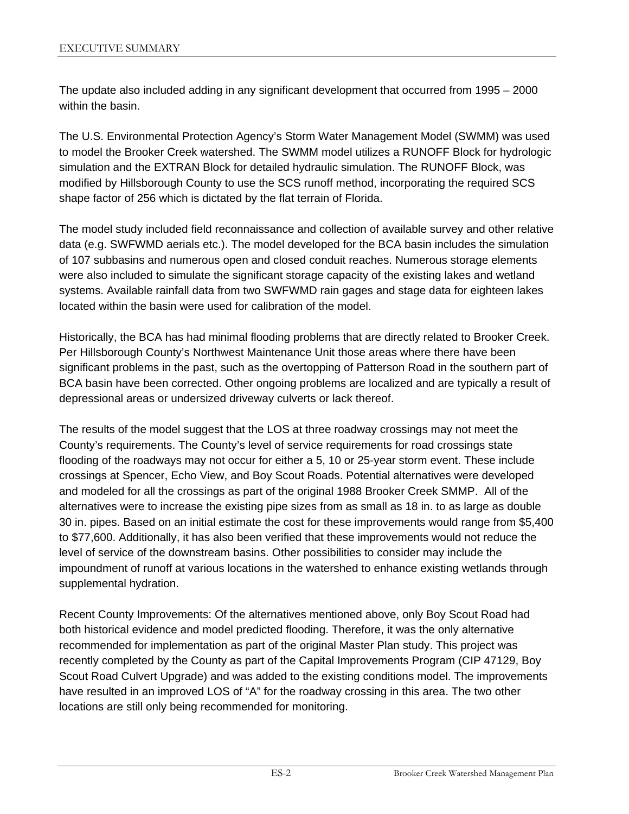The update also included adding in any significant development that occurred from 1995 – 2000 within the basin.

The U.S. Environmental Protection Agency's Storm Water Management Model (SWMM) was used to model the Brooker Creek watershed. The SWMM model utilizes a RUNOFF Block for hydrologic simulation and the EXTRAN Block for detailed hydraulic simulation. The RUNOFF Block, was modified by Hillsborough County to use the SCS runoff method, incorporating the required SCS shape factor of 256 which is dictated by the flat terrain of Florida.

The model study included field reconnaissance and collection of available survey and other relative data (e.g. SWFWMD aerials etc.). The model developed for the BCA basin includes the simulation of 107 subbasins and numerous open and closed conduit reaches. Numerous storage elements were also included to simulate the significant storage capacity of the existing lakes and wetland systems. Available rainfall data from two SWFWMD rain gages and stage data for eighteen lakes located within the basin were used for calibration of the model.

Historically, the BCA has had minimal flooding problems that are directly related to Brooker Creek. Per Hillsborough County's Northwest Maintenance Unit those areas where there have been significant problems in the past, such as the overtopping of Patterson Road in the southern part of BCA basin have been corrected. Other ongoing problems are localized and are typically a result of depressional areas or undersized driveway culverts or lack thereof.

The results of the model suggest that the LOS at three roadway crossings may not meet the County's requirements. The County's level of service requirements for road crossings state flooding of the roadways may not occur for either a 5, 10 or 25-year storm event. These include crossings at Spencer, Echo View, and Boy Scout Roads. Potential alternatives were developed and modeled for all the crossings as part of the original 1988 Brooker Creek SMMP. All of the alternatives were to increase the existing pipe sizes from as small as 18 in. to as large as double 30 in. pipes. Based on an initial estimate the cost for these improvements would range from \$5,400 to \$77,600. Additionally, it has also been verified that these improvements would not reduce the level of service of the downstream basins. Other possibilities to consider may include the impoundment of runoff at various locations in the watershed to enhance existing wetlands through supplemental hydration.

Recent County Improvements: Of the alternatives mentioned above, only Boy Scout Road had both historical evidence and model predicted flooding. Therefore, it was the only alternative recommended for implementation as part of the original Master Plan study. This project was recently completed by the County as part of the Capital Improvements Program (CIP 47129, Boy Scout Road Culvert Upgrade) and was added to the existing conditions model. The improvements have resulted in an improved LOS of "A" for the roadway crossing in this area. The two other locations are still only being recommended for monitoring.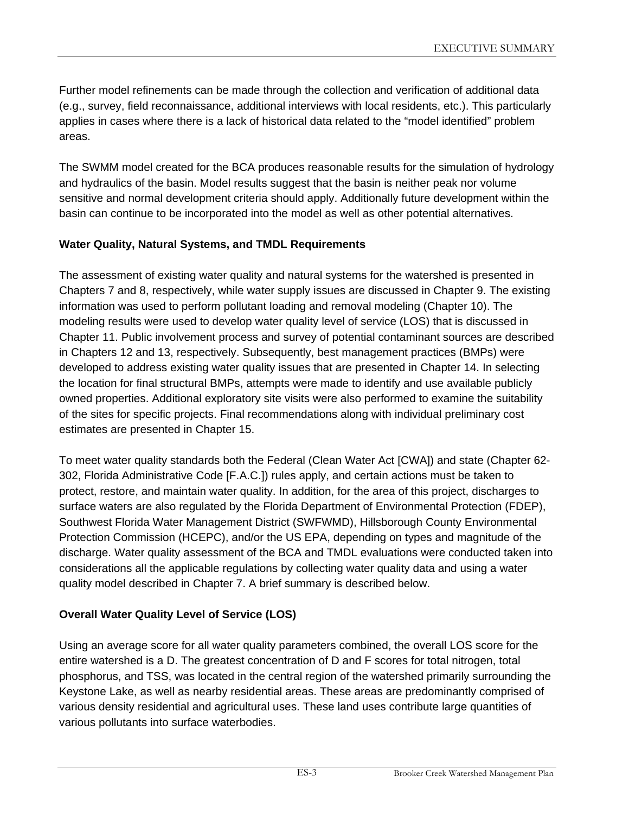Further model refinements can be made through the collection and verification of additional data (e.g., survey, field reconnaissance, additional interviews with local residents, etc.). This particularly applies in cases where there is a lack of historical data related to the "model identified" problem areas.

The SWMM model created for the BCA produces reasonable results for the simulation of hydrology and hydraulics of the basin. Model results suggest that the basin is neither peak nor volume sensitive and normal development criteria should apply. Additionally future development within the basin can continue to be incorporated into the model as well as other potential alternatives.

## **Water Quality, Natural Systems, and TMDL Requirements**

The assessment of existing water quality and natural systems for the watershed is presented in Chapters 7 and 8, respectively, while water supply issues are discussed in Chapter 9. The existing information was used to perform pollutant loading and removal modeling (Chapter 10). The modeling results were used to develop water quality level of service (LOS) that is discussed in Chapter 11. Public involvement process and survey of potential contaminant sources are described in Chapters 12 and 13, respectively. Subsequently, best management practices (BMPs) were developed to address existing water quality issues that are presented in Chapter 14. In selecting the location for final structural BMPs, attempts were made to identify and use available publicly owned properties. Additional exploratory site visits were also performed to examine the suitability of the sites for specific projects. Final recommendations along with individual preliminary cost estimates are presented in Chapter 15.

To meet water quality standards both the Federal (Clean Water Act [CWA]) and state (Chapter 62- 302, Florida Administrative Code [F.A.C.]) rules apply, and certain actions must be taken to protect, restore, and maintain water quality. In addition, for the area of this project, discharges to surface waters are also regulated by the Florida Department of Environmental Protection (FDEP), Southwest Florida Water Management District (SWFWMD), Hillsborough County Environmental Protection Commission (HCEPC), and/or the US EPA, depending on types and magnitude of the discharge. Water quality assessment of the BCA and TMDL evaluations were conducted taken into considerations all the applicable regulations by collecting water quality data and using a water quality model described in Chapter 7. A brief summary is described below.

## **Overall Water Quality Level of Service (LOS)**

Using an average score for all water quality parameters combined, the overall LOS score for the entire watershed is a D. The greatest concentration of D and F scores for total nitrogen, total phosphorus, and TSS, was located in the central region of the watershed primarily surrounding the Keystone Lake, as well as nearby residential areas. These areas are predominantly comprised of various density residential and agricultural uses. These land uses contribute large quantities of various pollutants into surface waterbodies.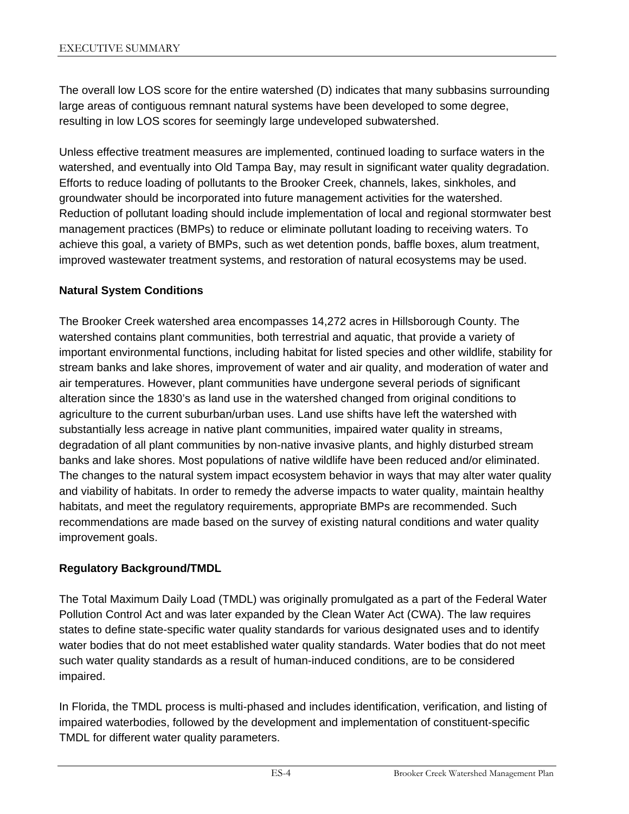The overall low LOS score for the entire watershed (D) indicates that many subbasins surrounding large areas of contiguous remnant natural systems have been developed to some degree, resulting in low LOS scores for seemingly large undeveloped subwatershed.

Unless effective treatment measures are implemented, continued loading to surface waters in the watershed, and eventually into Old Tampa Bay, may result in significant water quality degradation. Efforts to reduce loading of pollutants to the Brooker Creek, channels, lakes, sinkholes, and groundwater should be incorporated into future management activities for the watershed. Reduction of pollutant loading should include implementation of local and regional stormwater best management practices (BMPs) to reduce or eliminate pollutant loading to receiving waters. To achieve this goal, a variety of BMPs, such as wet detention ponds, baffle boxes, alum treatment, improved wastewater treatment systems, and restoration of natural ecosystems may be used.

#### **Natural System Conditions**

The Brooker Creek watershed area encompasses 14,272 acres in Hillsborough County. The watershed contains plant communities, both terrestrial and aquatic, that provide a variety of important environmental functions, including habitat for listed species and other wildlife, stability for stream banks and lake shores, improvement of water and air quality, and moderation of water and air temperatures. However, plant communities have undergone several periods of significant alteration since the 1830's as land use in the watershed changed from original conditions to agriculture to the current suburban/urban uses. Land use shifts have left the watershed with substantially less acreage in native plant communities, impaired water quality in streams, degradation of all plant communities by non-native invasive plants, and highly disturbed stream banks and lake shores. Most populations of native wildlife have been reduced and/or eliminated. The changes to the natural system impact ecosystem behavior in ways that may alter water quality and viability of habitats. In order to remedy the adverse impacts to water quality, maintain healthy habitats, and meet the regulatory requirements, appropriate BMPs are recommended. Such recommendations are made based on the survey of existing natural conditions and water quality improvement goals.

#### **Regulatory Background/TMDL**

The Total Maximum Daily Load (TMDL) was originally promulgated as a part of the Federal Water Pollution Control Act and was later expanded by the Clean Water Act (CWA). The law requires states to define state-specific water quality standards for various designated uses and to identify water bodies that do not meet established water quality standards. Water bodies that do not meet such water quality standards as a result of human-induced conditions, are to be considered impaired.

In Florida, the TMDL process is multi-phased and includes identification, verification, and listing of impaired waterbodies, followed by the development and implementation of constituent-specific TMDL for different water quality parameters.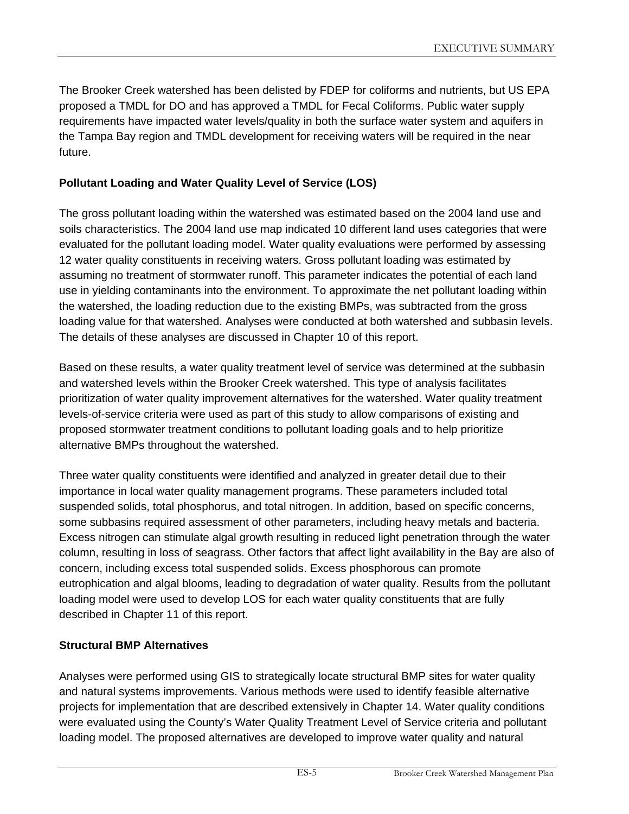The Brooker Creek watershed has been delisted by FDEP for coliforms and nutrients, but US EPA proposed a TMDL for DO and has approved a TMDL for Fecal Coliforms. Public water supply requirements have impacted water levels/quality in both the surface water system and aquifers in the Tampa Bay region and TMDL development for receiving waters will be required in the near future.

## **Pollutant Loading and Water Quality Level of Service (LOS)**

The gross pollutant loading within the watershed was estimated based on the 2004 land use and soils characteristics. The 2004 land use map indicated 10 different land uses categories that were evaluated for the pollutant loading model. Water quality evaluations were performed by assessing 12 water quality constituents in receiving waters. Gross pollutant loading was estimated by assuming no treatment of stormwater runoff. This parameter indicates the potential of each land use in yielding contaminants into the environment. To approximate the net pollutant loading within the watershed, the loading reduction due to the existing BMPs, was subtracted from the gross loading value for that watershed. Analyses were conducted at both watershed and subbasin levels. The details of these analyses are discussed in Chapter 10 of this report.

Based on these results, a water quality treatment level of service was determined at the subbasin and watershed levels within the Brooker Creek watershed. This type of analysis facilitates prioritization of water quality improvement alternatives for the watershed. Water quality treatment levels-of-service criteria were used as part of this study to allow comparisons of existing and proposed stormwater treatment conditions to pollutant loading goals and to help prioritize alternative BMPs throughout the watershed.

Three water quality constituents were identified and analyzed in greater detail due to their importance in local water quality management programs. These parameters included total suspended solids, total phosphorus, and total nitrogen. In addition, based on specific concerns, some subbasins required assessment of other parameters, including heavy metals and bacteria. Excess nitrogen can stimulate algal growth resulting in reduced light penetration through the water column, resulting in loss of seagrass. Other factors that affect light availability in the Bay are also of concern, including excess total suspended solids. Excess phosphorous can promote eutrophication and algal blooms, leading to degradation of water quality. Results from the pollutant loading model were used to develop LOS for each water quality constituents that are fully described in Chapter 11 of this report.

## **Structural BMP Alternatives**

Analyses were performed using GIS to strategically locate structural BMP sites for water quality and natural systems improvements. Various methods were used to identify feasible alternative projects for implementation that are described extensively in Chapter 14. Water quality conditions were evaluated using the County's Water Quality Treatment Level of Service criteria and pollutant loading model. The proposed alternatives are developed to improve water quality and natural